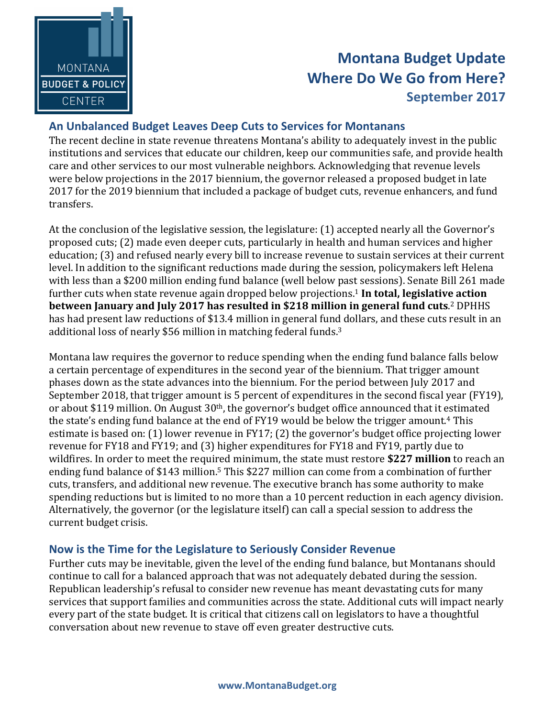

## **Montana Budget Update Where Do We Go from Here? September 2017**

## An Unbalanced Budget Leaves Deep Cuts to Services for Montanans

The recent decline in state revenue threatens Montana's ability to adequately invest in the public institutions and services that educate our children, keep our communities safe, and provide health care and other services to our most vulnerable neighbors. Acknowledging that revenue levels were below projections in the 2017 biennium, the governor released a proposed budget in late 2017 for the 2019 biennium that included a package of budget cuts, revenue enhancers, and fund transfers. 

At the conclusion of the legislative session, the legislature: (1) accepted nearly all the Governor's proposed cuts; (2) made even deeper cuts, particularly in health and human services and higher education; (3) and refused nearly every bill to increase revenue to sustain services at their current level. In addition to the significant reductions made during the session, policymakers left Helena with less than a \$200 million ending fund balance (well below past sessions). Senate Bill 261 made further cuts when state revenue again dropped below projections.<sup>1</sup> In total, legislative action **between January and July 2017 has resulted in \$218 million in general fund cuts.<sup>2</sup> DPHHS** has had present law reductions of \$13.4 million in general fund dollars, and these cuts result in an additional loss of nearly \$56 million in matching federal funds.<sup>3</sup>

Montana law requires the governor to reduce spending when the ending fund balance falls below a certain percentage of expenditures in the second year of the biennium. That trigger amount phases down as the state advances into the biennium. For the period between July 2017 and September 2018, that trigger amount is 5 percent of expenditures in the second fiscal year (FY19), or about \$119 million. On August 30<sup>th</sup>, the governor's budget office announced that it estimated the state's ending fund balance at the end of FY19 would be below the trigger amount.<sup>4</sup> This estimate is based on:  $(1)$  lower revenue in FY17;  $(2)$  the governor's budget office projecting lower revenue for FY18 and FY19; and (3) higher expenditures for FY18 and FY19, partly due to wildfires. In order to meet the required minimum, the state must restore \$227 million to reach an ending fund balance of \$143 million.<sup>5</sup> This \$227 million can come from a combination of further cuts, transfers, and additional new revenue. The executive branch has some authority to make spending reductions but is limited to no more than a 10 percent reduction in each agency division. Alternatively, the governor (or the legislature itself) can call a special session to address the current budget crisis.

## **Now is the Time for the Legislature to Seriously Consider Revenue**

Further cuts may be inevitable, given the level of the ending fund balance, but Montanans should continue to call for a balanced approach that was not adequately debated during the session. Republican leadership's refusal to consider new revenue has meant devastating cuts for many services that support families and communities across the state. Additional cuts will impact nearly every part of the state budget. It is critical that citizens call on legislators to have a thoughtful conversation about new revenue to stave off even greater destructive cuts.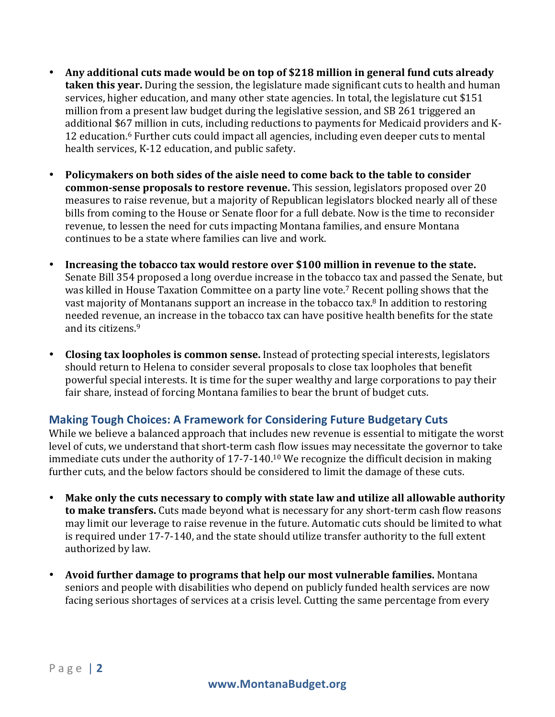- Any additional cuts made would be on top of \$218 million in general fund cuts already **taken this year.** During the session, the legislature made significant cuts to health and human services, higher education, and many other state agencies. In total, the legislature cut \$151 million from a present law budget during the legislative session, and SB 261 triggered an additional \$67 million in cuts, including reductions to payments for Medicaid providers and K-12 education.<sup>6</sup> Further cuts could impact all agencies, including even deeper cuts to mental health services, K-12 education, and public safety.
- Policymakers on both sides of the aisle need to come back to the table to consider **common-sense proposals to restore revenue.** This session, legislators proposed over 20 measures to raise revenue, but a majority of Republican legislators blocked nearly all of these bills from coming to the House or Senate floor for a full debate. Now is the time to reconsider revenue, to lessen the need for cuts impacting Montana families, and ensure Montana continues to be a state where families can live and work.
- Increasing the tobacco tax would restore over \$100 million in revenue to the state. Senate Bill 354 proposed a long overdue increase in the tobacco tax and passed the Senate, but was killed in House Taxation Committee on a party line vote.<sup>7</sup> Recent polling shows that the vast majority of Montanans support an increase in the tobacco tax.<sup>8</sup> In addition to restoring needed revenue, an increase in the tobacco tax can have positive health benefits for the state and its citizens.<sup>9</sup>
- **Closing tax loopholes is common sense.** Instead of protecting special interests, legislators should return to Helena to consider several proposals to close tax loopholes that benefit powerful special interests. It is time for the super wealthy and large corporations to pay their fair share, instead of forcing Montana families to bear the brunt of budget cuts.

## **Making Tough Choices: A Framework for Considering Future Budgetary Cuts**

While we believe a balanced approach that includes new revenue is essential to mitigate the worst level of cuts, we understand that short-term cash flow issues may necessitate the governor to take immediate cuts under the authority of  $17-7-140$ .<sup>10</sup> We recognize the difficult decision in making further cuts, and the below factors should be considered to limit the damage of these cuts.

- Make only the cuts necessary to comply with state law and utilize all allowable authority **to make transfers.** Cuts made beyond what is necessary for any short-term cash flow reasons may limit our leverage to raise revenue in the future. Automatic cuts should be limited to what is required under 17-7-140, and the state should utilize transfer authority to the full extent authorized by law.
- **Avoid further damage to programs that help our most vulnerable families.** Montana seniors and people with disabilities who depend on publicly funded health services are now facing serious shortages of services at a crisis level. Cutting the same percentage from every